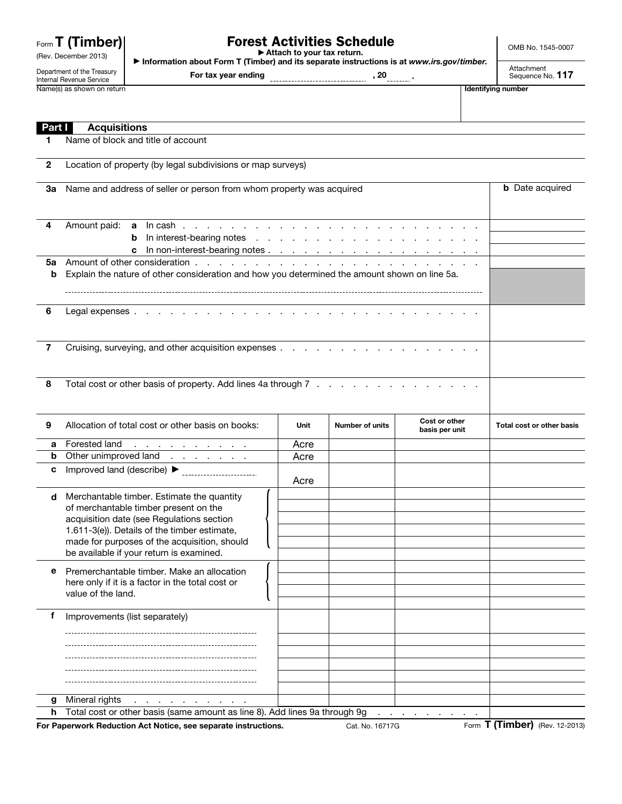|  |  | Form <b>T</b> (Timber) |
|--|--|------------------------|
|--|--|------------------------|

## Forest Activities Schedule ▶ Attach to your tax return.

OMB No. 1545-0007

▶ Information about Form T (Timber) and its separate instructions is at *www.irs.gov/timber.*

Department of the Treasury Internal Revenue Service Name(s) as shown on return **If the struck of the struck of the struck of the struck of the struck of the struck of the struck of the struck of the struck of the struck of the struck of the struck of the struck of the struc** 

(Rev. December 2013)

For tax year ending **contained a continuum** , 20 .........

Attachment<br>Sequence No. 117

| <b>Part I</b> | <b>Acquisitions</b>                                                                                                                                                                                                                                                          |      |                        |                                 |                                |
|---------------|------------------------------------------------------------------------------------------------------------------------------------------------------------------------------------------------------------------------------------------------------------------------------|------|------------------------|---------------------------------|--------------------------------|
| 1             | Name of block and title of account                                                                                                                                                                                                                                           |      |                        |                                 |                                |
| $\mathbf{2}$  | Location of property (by legal subdivisions or map surveys)                                                                                                                                                                                                                  |      |                        |                                 |                                |
| За            | Name and address of seller or person from whom property was acquired                                                                                                                                                                                                         |      |                        | <b>b</b> Date acquired          |                                |
| 4             | Amount paid:<br>b<br>c                                                                                                                                                                                                                                                       |      |                        |                                 |                                |
| 5а<br>b       | Explain the nature of other consideration and how you determined the amount shown on line 5a.                                                                                                                                                                                |      |                        |                                 |                                |
| 6             |                                                                                                                                                                                                                                                                              |      |                        |                                 |                                |
| 7             |                                                                                                                                                                                                                                                                              |      |                        |                                 |                                |
| 8             | Total cost or other basis of property. Add lines 4a through 7                                                                                                                                                                                                                |      |                        |                                 |                                |
| 9             | Allocation of total cost or other basis on books:                                                                                                                                                                                                                            | Unit | <b>Number of units</b> | Cost or other<br>basis per unit | Total cost or other basis      |
| a             | Forested land<br>$\mathcal{A}$ . The contribution of the contribution of $\mathcal{A}$                                                                                                                                                                                       | Acre |                        |                                 |                                |
| b             | Other unimproved land                                                                                                                                                                                                                                                        | Acre |                        |                                 |                                |
| c             |                                                                                                                                                                                                                                                                              | Acre |                        |                                 |                                |
| d             | Merchantable timber. Estimate the quantity<br>of merchantable timber present on the<br>acquisition date (see Regulations section<br>1.611-3(e)). Details of the timber estimate,<br>made for purposes of the acquisition, should<br>be available if your return is examined. |      |                        |                                 |                                |
| е             | Premerchantable timber. Make an allocation<br>here only if it is a factor in the total cost or<br>value of the land.                                                                                                                                                         |      |                        |                                 |                                |
| f             | Improvements (list separately)                                                                                                                                                                                                                                               |      |                        |                                 |                                |
| g             | Mineral rights                                                                                                                                                                                                                                                               |      |                        |                                 |                                |
| h             | Total cost or other basis (same amount as line 8). Add lines 9a through 9g                                                                                                                                                                                                   |      |                        |                                 |                                |
|               | For Paperwork Reduction Act Notice, see separate instructions.                                                                                                                                                                                                               |      | Cat. No. 16717G        |                                 | Form T (Timber) (Rev. 12-2013) |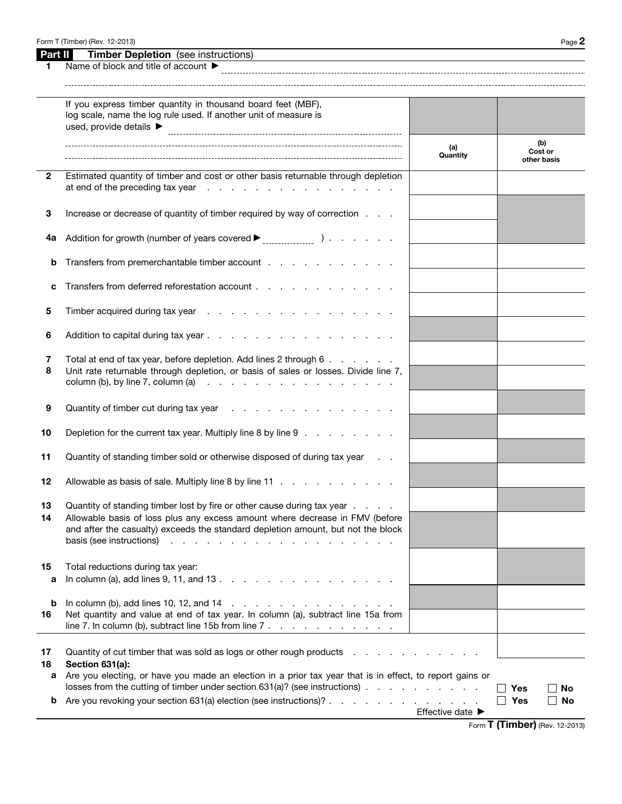| Form T (Timber) (Rev. 12-2013) | $P$ aqe $\boldsymbol{z}$ |
|--------------------------------|--------------------------|
|--------------------------------|--------------------------|

| Part II l<br><b>Timber Depletion</b> (see instructions) |  |
|---------------------------------------------------------|--|
|---------------------------------------------------------|--|

| 1             | Name of block and title of account $\blacktriangleright$                                                                                                                                                                                                                                                                            |                  |                                       |    |
|---------------|-------------------------------------------------------------------------------------------------------------------------------------------------------------------------------------------------------------------------------------------------------------------------------------------------------------------------------------|------------------|---------------------------------------|----|
|               | If you express timber quantity in thousand board feet (MBF),<br>log scale, name the log rule used. If another unit of measure is<br>used, provide details ▶                                                                                                                                                                         |                  |                                       |    |
|               |                                                                                                                                                                                                                                                                                                                                     | (a)<br>Quantity  | (b)<br>Cost or<br>other basis         |    |
| $\mathbf{2}$  | Estimated quantity of timber and cost or other basis returnable through depletion<br>at end of the preceding tax year end of the preceding tax year                                                                                                                                                                                 |                  |                                       |    |
| 3             | Increase or decrease of quantity of timber required by way of correction                                                                                                                                                                                                                                                            |                  |                                       |    |
| 4a            |                                                                                                                                                                                                                                                                                                                                     |                  |                                       |    |
| b             | Transfers from premerchantable timber account                                                                                                                                                                                                                                                                                       |                  |                                       |    |
| c             | Transfers from deferred reforestation account                                                                                                                                                                                                                                                                                       |                  |                                       |    |
| 5             |                                                                                                                                                                                                                                                                                                                                     |                  |                                       |    |
| 6             |                                                                                                                                                                                                                                                                                                                                     |                  |                                       |    |
| 7<br>8        | Total at end of tax year, before depletion. Add lines 2 through 6<br>Unit rate returnable through depletion, or basis of sales or losses. Divide line 7,<br>column (b), by line 7, column (a) $\therefore$ $\therefore$ $\therefore$ $\therefore$ $\therefore$ $\therefore$ $\therefore$ $\therefore$ $\therefore$ $\therefore$     |                  |                                       |    |
| 9             | Quantity of timber cut during tax year                                                                                                                                                                                                                                                                                              |                  |                                       |    |
| 10            | Depletion for the current tax year. Multiply line 8 by line 9                                                                                                                                                                                                                                                                       |                  |                                       |    |
| 11            | Quantity of standing timber sold or otherwise disposed of during tax year                                                                                                                                                                                                                                                           |                  |                                       |    |
| 12            | Allowable as basis of sale. Multiply line 8 by line 11                                                                                                                                                                                                                                                                              |                  |                                       |    |
| 13            | Quantity of standing timber lost by fire or other cause during tax year<br>Allowable basis of loss plus any excess amount where decrease in FMV (before<br>and after the casualty) exceeds the standard depletion amount, but not the block<br>basis (see instructions)<br>design and a state of the contract of the<br>and a state |                  |                                       |    |
| 15<br>a       | Total reductions during tax year:<br>In column (a), add lines $9, 11,$ and $13.$ $\ldots$ $\ldots$ $\ldots$ $\ldots$ $\ldots$ $\ldots$                                                                                                                                                                                              |                  |                                       |    |
| b<br>16       | Net quantity and value at end of tax year. In column (a), subtract line 15a from<br>line 7. In column (b), subtract line 15b from line $7 \cdot \cdot \cdot \cdot \cdot \cdot \cdot \cdot \cdot \cdot \cdot \cdot \cdot \cdot \cdot$                                                                                                |                  |                                       |    |
| 17<br>18<br>a | Quantity of cut timber that was sold as logs or other rough products<br>Section 631(a):<br>Are you electing, or have you made an election in a prior tax year that is in effect, to report gains or<br>losses from the cutting of timber under section $631(a)$ ? (see instructions) $\ldots$                                       |                  | Yes                                   | No |
| b             | Are you revoking your section 631(a) election (see instructions)?                                                                                                                                                                                                                                                                   | Effective date ▶ | Yes<br>$\perp$                        | No |
|               |                                                                                                                                                                                                                                                                                                                                     |                  | Form <b>T (Timber)</b> (Rev. 12-2013) |    |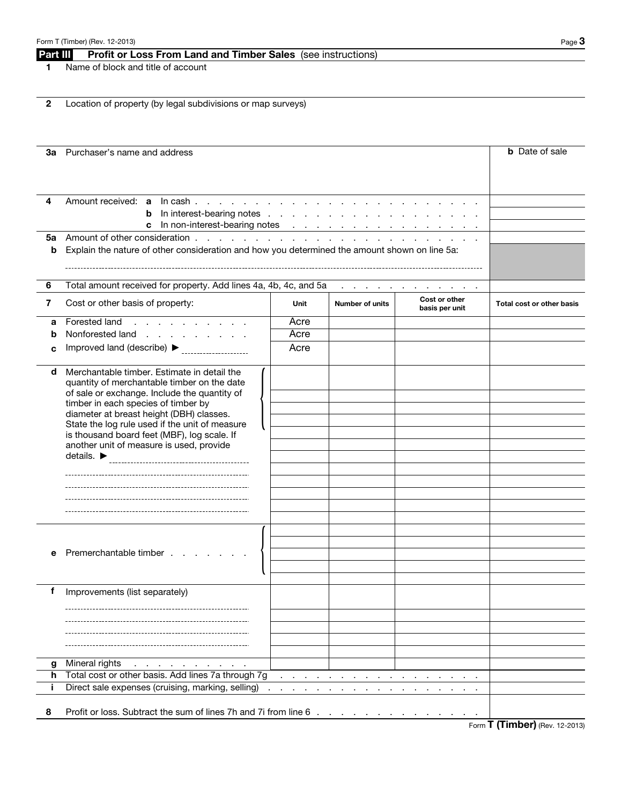## Part III Profit or Loss From Land and Timber Sales (see instructions)

1 Name of block and title of account

2 Location of property (by legal subdivisions or map surveys)

|   | <b>3a</b> Purchaser's name and address                                                                                            |      |                          | <b>b</b> Date of sale                           |                           |
|---|-----------------------------------------------------------------------------------------------------------------------------------|------|--------------------------|-------------------------------------------------|---------------------------|
|   |                                                                                                                                   |      |                          |                                                 |                           |
|   |                                                                                                                                   |      |                          |                                                 |                           |
| 4 | Amount received: a ln cash                                                                                                        |      |                          |                                                 |                           |
|   | <b>b</b> In interest-bearing notes                                                                                                |      |                          |                                                 |                           |
|   | c In non-interest-bearing notes                                                                                                   |      |                          |                                                 |                           |
| b | 5a Amount of other consideration<br>Explain the nature of other consideration and how you determined the amount shown on line 5a: |      |                          |                                                 |                           |
|   |                                                                                                                                   |      |                          |                                                 |                           |
|   |                                                                                                                                   |      |                          |                                                 |                           |
| 6 | Total amount received for property. Add lines 4a, 4b, 4c, and 5a                                                                  |      |                          | and a series of the contract of the contract of |                           |
| 7 | Cost or other basis of property:                                                                                                  | Unit | <b>Number of units</b>   | Cost or other<br>basis per unit                 | Total cost or other basis |
| a | Forested land<br>and the company of the company of                                                                                | Acre |                          |                                                 |                           |
| b | Nonforested land                                                                                                                  | Acre |                          |                                                 |                           |
| c | Improved land (describe) ▶                                                                                                        | Acre |                          |                                                 |                           |
| d | Merchantable timber. Estimate in detail the                                                                                       |      |                          |                                                 |                           |
|   | quantity of merchantable timber on the date<br>of sale or exchange. Include the quantity of                                       |      |                          |                                                 |                           |
|   | timber in each species of timber by                                                                                               |      |                          |                                                 |                           |
|   | diameter at breast height (DBH) classes.<br>State the log rule used if the unit of measure                                        |      |                          |                                                 |                           |
|   | is thousand board feet (MBF), log scale. If                                                                                       |      |                          |                                                 |                           |
|   | another unit of measure is used, provide                                                                                          |      |                          |                                                 |                           |
|   | details. $\blacktriangleright$                                                                                                    |      |                          |                                                 |                           |
|   |                                                                                                                                   |      |                          |                                                 |                           |
|   |                                                                                                                                   |      |                          |                                                 |                           |
|   |                                                                                                                                   |      |                          |                                                 |                           |
|   |                                                                                                                                   |      |                          |                                                 |                           |
|   |                                                                                                                                   |      |                          |                                                 |                           |
|   |                                                                                                                                   |      |                          |                                                 |                           |
| е | Premerchantable timber                                                                                                            |      |                          |                                                 |                           |
|   |                                                                                                                                   |      |                          |                                                 |                           |
| f | Improvements (list separately)                                                                                                    |      |                          |                                                 |                           |
|   |                                                                                                                                   |      |                          |                                                 |                           |
|   |                                                                                                                                   |      |                          |                                                 |                           |
|   |                                                                                                                                   |      |                          |                                                 |                           |
|   |                                                                                                                                   |      |                          |                                                 |                           |
| g | Mineral rights<br>the contract of the contract of the con-                                                                        |      |                          |                                                 |                           |
| h | Total cost or other basis. Add lines 7a through 7g                                                                                |      |                          |                                                 |                           |
| Ť | Direct sale expenses (cruising, marking, selling)                                                                                 |      | <b>Contract Contract</b> |                                                 |                           |
|   |                                                                                                                                   |      |                          |                                                 |                           |
| 8 | Profit or loss. Subtract the sum of lines 7h and 7i from line 6                                                                   |      |                          |                                                 |                           |

Form T (Timber) (Rev. 12-2013)